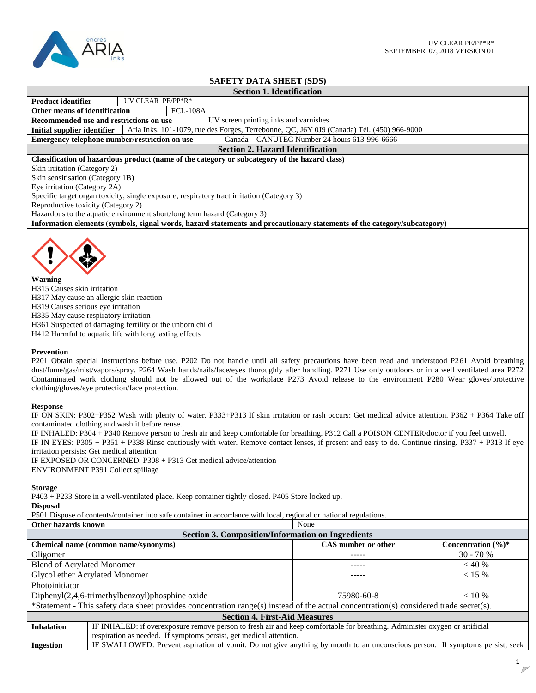

## **SAFETY DATA SHEET (SDS)**

|                                                                                            |                   | <b>Section 1. Identification</b>                                                                                         |  |
|--------------------------------------------------------------------------------------------|-------------------|--------------------------------------------------------------------------------------------------------------------------|--|
| <b>Product identifier</b>                                                                  | UV CLEAR PE/PP*R* |                                                                                                                          |  |
| Other means of identification                                                              | $FCL-108A$        |                                                                                                                          |  |
| Recommended use and restrictions on use                                                    |                   | UV screen printing inks and varnishes                                                                                    |  |
| Initial supplier identifier                                                                |                   | Aria Inks. 101-1079, rue des Forges, Terrebonne, QC, J6Y 0J9 (Canada) Tél. (450) 966-9000                                |  |
| Emergency telephone number/restriction on use                                              |                   | Canada - CANUTEC Number 24 hours 613-996-6666                                                                            |  |
|                                                                                            |                   | <b>Section 2. Hazard Identification</b>                                                                                  |  |
|                                                                                            |                   | Classification of hazardous product (name of the category or subcategory of the hazard class)                            |  |
| Skin irritation (Category 2)                                                               |                   |                                                                                                                          |  |
| Skin sensitisation (Category 1B)                                                           |                   |                                                                                                                          |  |
| Eye irritation (Category 2A)                                                               |                   |                                                                                                                          |  |
| Specific target organ toxicity, single exposure; respiratory tract irritation (Category 3) |                   |                                                                                                                          |  |
| Reproductive toxicity (Category 2)                                                         |                   |                                                                                                                          |  |
| Hazardous to the aquatic environment short/long term hazard (Category 3)                   |                   |                                                                                                                          |  |
|                                                                                            |                   | Information elements (symbols, signal words, hazard statements and precautionary statements of the category/subcategory) |  |
|                                                                                            |                   |                                                                                                                          |  |



## **Warning**

H315 Causes skin irritation

H317 May cause an allergic skin reaction

H319 Causes serious eye irritation

H335 May cause respiratory irritation

H361 Suspected of damaging fertility or the unborn child

H412 Harmful to aquatic life with long lasting effects

## **Prevention**

P201 Obtain special instructions before use. P202 Do not handle until all safety precautions have been read and understood P261 Avoid breathing dust/fume/gas/mist/vapors/spray. P264 Wash hands/nails/face/eyes thoroughly after handling. P271 Use only outdoors or in a well ventilated area P272 Contaminated work clothing should not be allowed out of the workplace P273 Avoid release to the environment P280 Wear gloves/protective clothing/gloves/eye protection/face protection.

## **Response**

IF ON SKIN: P302+P352 Wash with plenty of water. P333+P313 If skin irritation or rash occurs: Get medical advice attention. P362 + P364 Take off contaminated clothing and wash it before reuse.

IF INHALED: P304 + P340 Remove person to fresh air and keep comfortable for breathing. P312 Call a POISON CENTER/doctor if you feel unwell. IF IN EYES: P305 + P351 + P338 Rinse cautiously with water. Remove contact lenses, if present and easy to do. Continue rinsing. P337 + P313 If eye irritation persists: Get medical attention

IF EXPOSED OR CONCERNED: P308 + P313 Get medical advice/attention ENVIRONMENT P391 Collect spillage

**Storage**

P403 + P233 Store in a well-ventilated place. Keep container tightly closed. P405 Store locked up.

**Disposal**

P501 Dispose of contents/container into safe container in accordance with local, regional or national regulations.

| Other hazards known                                                                                                                    |                                                                                                                              | None                |                                 |  |  |  |
|----------------------------------------------------------------------------------------------------------------------------------------|------------------------------------------------------------------------------------------------------------------------------|---------------------|---------------------------------|--|--|--|
| <b>Section 3. Composition/Information on Ingredients</b>                                                                               |                                                                                                                              |                     |                                 |  |  |  |
|                                                                                                                                        | Chemical name (common name/synonyms)                                                                                         | CAS number or other | Concentration $(\frac{6}{6})^*$ |  |  |  |
| Oligomer                                                                                                                               |                                                                                                                              | -----               | $30 - 70%$                      |  |  |  |
| <b>Blend of Acrylated Monomer</b>                                                                                                      |                                                                                                                              |                     | $<$ 40 %                        |  |  |  |
| Glycol ether Acrylated Monomer                                                                                                         |                                                                                                                              | -----               | $< 15 \%$                       |  |  |  |
| Photoinitiator                                                                                                                         |                                                                                                                              |                     |                                 |  |  |  |
| Diphenyl(2,4,6-trimethylbenzoyl)phosphine oxide                                                                                        |                                                                                                                              | 75980-60-8          | $< 10\%$                        |  |  |  |
| *Statement - This safety data sheet provides concentration range(s) instead of the actual concentration(s) considered trade secret(s). |                                                                                                                              |                     |                                 |  |  |  |
| <b>Section 4. First-Aid Measures</b>                                                                                                   |                                                                                                                              |                     |                                 |  |  |  |
| <b>Inhalation</b>                                                                                                                      | IF INHALED: if overexposure remove person to fresh air and keep comfortable for breathing. Administer oxygen or artificial   |                     |                                 |  |  |  |
|                                                                                                                                        | respiration as needed. If symptoms persist, get medical attention.                                                           |                     |                                 |  |  |  |
| <b>Ingestion</b>                                                                                                                       | IF SWALLOWED: Prevent aspiration of vomit. Do not give anything by mouth to an unconscious person. If symptoms persist, seek |                     |                                 |  |  |  |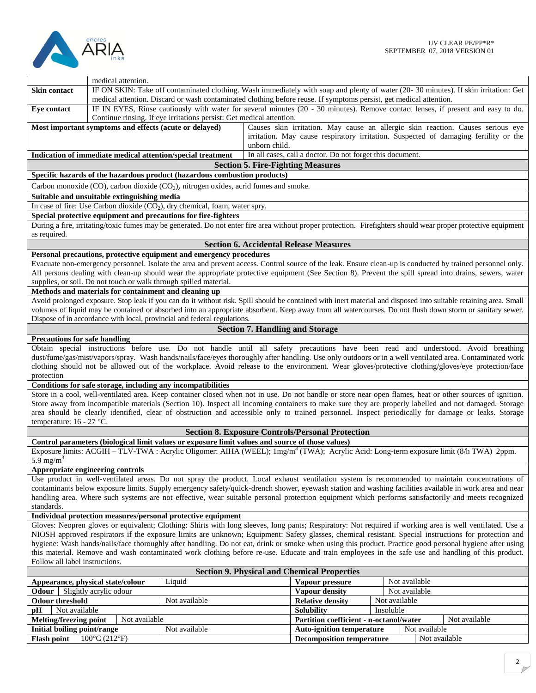

|                                                   | medical attention.                                     |                                                                                                                                                   |                                        |                                                                      |           |               |                                                                                                                                                                         |
|---------------------------------------------------|--------------------------------------------------------|---------------------------------------------------------------------------------------------------------------------------------------------------|----------------------------------------|----------------------------------------------------------------------|-----------|---------------|-------------------------------------------------------------------------------------------------------------------------------------------------------------------------|
| <b>Skin contact</b>                               |                                                        |                                                                                                                                                   |                                        |                                                                      |           |               | IF ON SKIN: Take off contaminated clothing. Wash immediately with soap and plenty of water (20-30 minutes). If skin irritation: Get                                     |
|                                                   |                                                        | medical attention. Discard or wash contaminated clothing before reuse. If symptoms persist, get medical attention.                                |                                        |                                                                      |           |               |                                                                                                                                                                         |
| Eye contact                                       |                                                        | Continue rinsing. If eye irritations persist: Get medical attention.                                                                              |                                        |                                                                      |           |               | IF IN EYES, Rinse cautiously with water for several minutes (20 - 30 minutes). Remove contact lenses, if present and easy to do.                                        |
|                                                   | Most important symptoms and effects (acute or delayed) |                                                                                                                                                   | unborn child.                          |                                                                      |           |               | Causes skin irritation. May cause an allergic skin reaction. Causes serious eye<br>irritation. May cause respiratory irritation. Suspected of damaging fertility or the |
|                                                   |                                                        | Indication of immediate medical attention/special treatment                                                                                       |                                        | In all cases, call a doctor. Do not forget this document.            |           |               |                                                                                                                                                                         |
|                                                   |                                                        |                                                                                                                                                   |                                        | <b>Section 5. Fire-Fighting Measures</b>                             |           |               |                                                                                                                                                                         |
|                                                   |                                                        | Specific hazards of the hazardous product (hazardous combustion products)                                                                         |                                        |                                                                      |           |               |                                                                                                                                                                         |
|                                                   |                                                        | Carbon monoxide (CO), carbon dioxide (CO <sub>2</sub> ), nitrogen oxides, acrid fumes and smoke.                                                  |                                        |                                                                      |           |               |                                                                                                                                                                         |
|                                                   | Suitable and unsuitable extinguishing media            |                                                                                                                                                   |                                        |                                                                      |           |               |                                                                                                                                                                         |
|                                                   |                                                        | In case of fire: Use Carbon dioxide $(CO2)$ , dry chemical, foam, water spry.                                                                     |                                        |                                                                      |           |               |                                                                                                                                                                         |
|                                                   |                                                        | Special protective equipment and precautions for fire-fighters                                                                                    |                                        |                                                                      |           |               |                                                                                                                                                                         |
| as required.                                      |                                                        |                                                                                                                                                   |                                        |                                                                      |           |               | During a fire, irritating/toxic fumes may be generated. Do not enter fire area without proper protection. Firefighters should wear proper protective equipment          |
|                                                   |                                                        |                                                                                                                                                   |                                        | <b>Section 6. Accidental Release Measures</b>                        |           |               |                                                                                                                                                                         |
|                                                   |                                                        | Personal precautions, protective equipment and emergency procedures                                                                               |                                        |                                                                      |           |               |                                                                                                                                                                         |
|                                                   |                                                        |                                                                                                                                                   |                                        |                                                                      |           |               | Evacuate non-emergency personnel. Isolate the area and prevent access. Control source of the leak. Ensure clean-up is conducted by trained personnel only.              |
|                                                   |                                                        |                                                                                                                                                   |                                        |                                                                      |           |               | All persons dealing with clean-up should wear the appropriate protective equipment (See Section 8). Prevent the spill spread into drains, sewers, water                 |
|                                                   | Methods and materials for containment and cleaning up  | supplies, or soil. Do not touch or walk through spilled material.                                                                                 |                                        |                                                                      |           |               |                                                                                                                                                                         |
|                                                   |                                                        |                                                                                                                                                   |                                        |                                                                      |           |               | Avoid prolonged exposure. Stop leak if you can do it without risk. Spill should be contained with inert material and disposed into suitable retaining area. Small       |
|                                                   |                                                        |                                                                                                                                                   |                                        |                                                                      |           |               | volumes of liquid may be contained or absorbed into an appropriate absorbent. Keep away from all watercourses. Do not flush down storm or sanitary sewer.               |
|                                                   |                                                        | Dispose of in accordance with local, provincial and federal regulations.                                                                          |                                        |                                                                      |           |               |                                                                                                                                                                         |
|                                                   |                                                        |                                                                                                                                                   | <b>Section 7. Handling and Storage</b> |                                                                      |           |               |                                                                                                                                                                         |
| <b>Precautions for safe handling</b>              |                                                        |                                                                                                                                                   |                                        |                                                                      |           |               |                                                                                                                                                                         |
|                                                   |                                                        |                                                                                                                                                   |                                        |                                                                      |           |               | Obtain special instructions before use. Do not handle until all safety precautions have been read and understood. Avoid breathing                                       |
|                                                   |                                                        |                                                                                                                                                   |                                        |                                                                      |           |               | dust/fume/gas/mist/vapors/spray. Wash hands/nails/face/eyes thoroughly after handling. Use only outdoors or in a well ventilated area. Contaminated work                |
|                                                   |                                                        |                                                                                                                                                   |                                        |                                                                      |           |               | clothing should not be allowed out of the workplace. Avoid release to the environment. Wear gloves/protective clothing/gloves/eye protection/face                       |
| protection                                        |                                                        | Conditions for safe storage, including any incompatibilities                                                                                      |                                        |                                                                      |           |               |                                                                                                                                                                         |
|                                                   |                                                        |                                                                                                                                                   |                                        |                                                                      |           |               | Store in a cool, well-ventilated area. Keep container closed when not in use. Do not handle or store near open flames, heat or other sources of ignition.               |
|                                                   |                                                        |                                                                                                                                                   |                                        |                                                                      |           |               | Store away from incompatible materials (Section 10). Inspect all incoming containers to make sure they are properly labelled and not damaged. Storage                   |
|                                                   |                                                        |                                                                                                                                                   |                                        |                                                                      |           |               | area should be clearly identified, clear of obstruction and accessible only to trained personnel. Inspect periodically for damage or leaks. Storage                     |
|                                                   |                                                        |                                                                                                                                                   |                                        |                                                                      |           |               |                                                                                                                                                                         |
| temperature: 16 - 27 °C.                          |                                                        |                                                                                                                                                   |                                        |                                                                      |           |               |                                                                                                                                                                         |
|                                                   |                                                        |                                                                                                                                                   |                                        | <b>Section 8. Exposure Controls/Personal Protection</b>              |           |               |                                                                                                                                                                         |
|                                                   |                                                        | Control parameters (biological limit values or exposure limit values and source of those values)                                                  |                                        |                                                                      |           |               |                                                                                                                                                                         |
|                                                   |                                                        | Exposure limits: ACGIH – TLV-TWA: Acrylic Oligomer: AIHA (WEEL); 1mg/m <sup>3</sup> (TWA); Acrylic Acid: Long-term exposure limit (8/h TWA) 2ppm. |                                        |                                                                      |           |               |                                                                                                                                                                         |
| 5.9 mg/m <sup>3</sup>                             |                                                        |                                                                                                                                                   |                                        |                                                                      |           |               |                                                                                                                                                                         |
| Appropriate engineering controls                  |                                                        |                                                                                                                                                   |                                        |                                                                      |           |               |                                                                                                                                                                         |
|                                                   |                                                        |                                                                                                                                                   |                                        |                                                                      |           |               | Use product in well-ventilated areas. Do not spray the product. Local exhaust ventilation system is recommended to maintain concentrations of                           |
|                                                   |                                                        |                                                                                                                                                   |                                        |                                                                      |           |               | contaminants below exposure limits. Supply emergency safety/quick-drench shower, eyewash station and washing facilities available in work area and near                 |
| standards.                                        |                                                        |                                                                                                                                                   |                                        |                                                                      |           |               | handling area. Where such systems are not effective, wear suitable personal protection equipment which performs satisfactorily and meets recognized                     |
|                                                   |                                                        | Individual protection measures/personal protective equipment                                                                                      |                                        |                                                                      |           |               |                                                                                                                                                                         |
|                                                   |                                                        |                                                                                                                                                   |                                        |                                                                      |           |               | Gloves: Neopren gloves or equivalent; Clothing: Shirts with long sleeves, long pants; Respiratory: Not required if working area is well ventilated. Use a               |
|                                                   |                                                        |                                                                                                                                                   |                                        |                                                                      |           |               | NIOSH approved respirators if the exposure limits are unknown; Equipment: Safety glasses, chemical resistant. Special instructions for protection and                   |
|                                                   |                                                        |                                                                                                                                                   |                                        |                                                                      |           |               | hygiene: Wash hands/nails/face thoroughly after handling. Do not eat, drink or smoke when using this product. Practice good personal hygiene after using                |
|                                                   |                                                        |                                                                                                                                                   |                                        |                                                                      |           |               | this material. Remove and wash contaminated work clothing before re-use. Educate and train employees in the safe use and handling of this product.                      |
| Follow all label instructions.                    |                                                        |                                                                                                                                                   |                                        |                                                                      |           |               |                                                                                                                                                                         |
|                                                   |                                                        |                                                                                                                                                   |                                        | <b>Section 9. Physical and Chemical Properties</b>                   |           |               |                                                                                                                                                                         |
| Appearance, physical state/colour                 |                                                        | Liquid                                                                                                                                            |                                        | Vapour pressure                                                      |           | Not available |                                                                                                                                                                         |
| Odour                                             | Slightly acrylic odour                                 |                                                                                                                                                   |                                        | Vapour density                                                       |           | Not available |                                                                                                                                                                         |
| <b>Odour threshold</b><br>Not available<br>pH     |                                                        | Not available                                                                                                                                     |                                        | <b>Relative density</b>                                              | Insoluble | Not available |                                                                                                                                                                         |
| Melting/freezing point                            | Not available                                          |                                                                                                                                                   |                                        | <b>Solubility</b><br>Partition coefficient - n-octanol/water         |           |               | Not available                                                                                                                                                           |
| Initial boiling point/range<br><b>Flash point</b> | $100^{\circ}$ C (212 $^{\circ}$ F)                     | Not available                                                                                                                                     |                                        | <b>Auto-ignition temperature</b><br><b>Decomposition temperature</b> |           | Not available |                                                                                                                                                                         |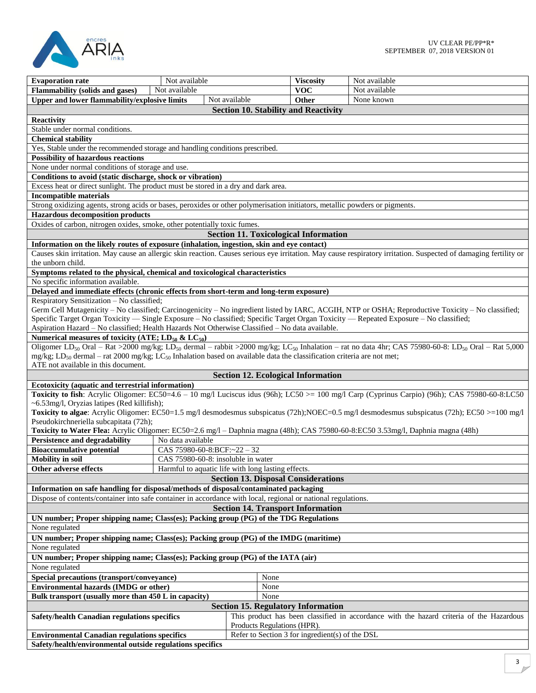

| Not available                                                                                                                                 |                                                                                                                                                              |                                                 | Not available                                                                                                                                                                                    |  |  |
|-----------------------------------------------------------------------------------------------------------------------------------------------|--------------------------------------------------------------------------------------------------------------------------------------------------------------|-------------------------------------------------|--------------------------------------------------------------------------------------------------------------------------------------------------------------------------------------------------|--|--|
| <b>Evaporation rate</b><br><b>Flammability (solids and gases)</b><br>Not available                                                            |                                                                                                                                                              | <b>Viscosity</b><br><b>VOC</b>                  | Not available                                                                                                                                                                                    |  |  |
| Upper and lower flammability/explosive limits                                                                                                 | Not available                                                                                                                                                | <b>Other</b>                                    | None known                                                                                                                                                                                       |  |  |
|                                                                                                                                               |                                                                                                                                                              |                                                 |                                                                                                                                                                                                  |  |  |
|                                                                                                                                               |                                                                                                                                                              | <b>Section 10. Stability and Reactivity</b>     |                                                                                                                                                                                                  |  |  |
| <b>Reactivity</b>                                                                                                                             |                                                                                                                                                              |                                                 |                                                                                                                                                                                                  |  |  |
| Stable under normal conditions.                                                                                                               |                                                                                                                                                              |                                                 |                                                                                                                                                                                                  |  |  |
| <b>Chemical stability</b>                                                                                                                     |                                                                                                                                                              |                                                 |                                                                                                                                                                                                  |  |  |
| Yes, Stable under the recommended storage and handling conditions prescribed.                                                                 |                                                                                                                                                              |                                                 |                                                                                                                                                                                                  |  |  |
| <b>Possibility of hazardous reactions</b><br>None under normal conditions of storage and use.                                                 |                                                                                                                                                              |                                                 |                                                                                                                                                                                                  |  |  |
|                                                                                                                                               |                                                                                                                                                              |                                                 |                                                                                                                                                                                                  |  |  |
| Conditions to avoid (static discharge, shock or vibration)                                                                                    |                                                                                                                                                              |                                                 |                                                                                                                                                                                                  |  |  |
| Excess heat or direct sunlight. The product must be stored in a dry and dark area.                                                            |                                                                                                                                                              |                                                 |                                                                                                                                                                                                  |  |  |
|                                                                                                                                               | <b>Incompatible materials</b><br>Strong oxidizing agents, strong acids or bases, peroxides or other polymerisation initiators, metallic powders or pigments. |                                                 |                                                                                                                                                                                                  |  |  |
| <b>Hazardous decomposition products</b>                                                                                                       |                                                                                                                                                              |                                                 |                                                                                                                                                                                                  |  |  |
| Oxides of carbon, nitrogen oxides, smoke, other potentially toxic fumes.                                                                      |                                                                                                                                                              |                                                 |                                                                                                                                                                                                  |  |  |
|                                                                                                                                               |                                                                                                                                                              |                                                 |                                                                                                                                                                                                  |  |  |
|                                                                                                                                               |                                                                                                                                                              | <b>Section 11. Toxicological Information</b>    |                                                                                                                                                                                                  |  |  |
| Information on the likely routes of exposure (inhalation, ingestion, skin and eye contact)                                                    |                                                                                                                                                              |                                                 |                                                                                                                                                                                                  |  |  |
|                                                                                                                                               |                                                                                                                                                              |                                                 | Causes skin irritation. May cause an allergic skin reaction. Causes serious eye irritation. May cause respiratory irritation. Suspected of damaging fertility or                                 |  |  |
| the unborn child.                                                                                                                             |                                                                                                                                                              |                                                 |                                                                                                                                                                                                  |  |  |
| Symptoms related to the physical, chemical and toxicological characteristics                                                                  |                                                                                                                                                              |                                                 |                                                                                                                                                                                                  |  |  |
| No specific information available.                                                                                                            |                                                                                                                                                              |                                                 |                                                                                                                                                                                                  |  |  |
| Delayed and immediate effects (chronic effects from short-term and long-term exposure)                                                        |                                                                                                                                                              |                                                 |                                                                                                                                                                                                  |  |  |
| Respiratory Sensitization - No classified;                                                                                                    |                                                                                                                                                              |                                                 |                                                                                                                                                                                                  |  |  |
| Specific Target Organ Toxicity — Single Exposure – No classified; Specific Target Organ Toxicity — Repeated Exposure – No classified;         |                                                                                                                                                              |                                                 | Germ Cell Mutagenicity - No classified; Carcinogenicity - No ingredient listed by IARC, ACGIH, NTP or OSHA; Reproductive Toxicity - No classified;                                               |  |  |
| Aspiration Hazard - No classified; Health Hazards Not Otherwise Classified - No data available.                                               |                                                                                                                                                              |                                                 |                                                                                                                                                                                                  |  |  |
| Numerical measures of toxicity (ATE; $LD_{50}$ & $LC_{50}$ )                                                                                  |                                                                                                                                                              |                                                 |                                                                                                                                                                                                  |  |  |
|                                                                                                                                               |                                                                                                                                                              |                                                 | Oligomer LD <sub>50</sub> Oral – Rat >2000 mg/kg; LD <sub>50</sub> dermal – rabbit >2000 mg/kg; LC <sub>50</sub> Inhalation – rat no data 4hr; CAS 75980-60-8: LD <sub>50</sub> Oral – Rat 5,000 |  |  |
| mg/kg; LD <sub>50</sub> dermal – rat 2000 mg/kg; LC <sub>50</sub> Inhalation based on available data the classification criteria are not met; |                                                                                                                                                              |                                                 |                                                                                                                                                                                                  |  |  |
| ATE not available in this document.                                                                                                           |                                                                                                                                                              |                                                 |                                                                                                                                                                                                  |  |  |
|                                                                                                                                               |                                                                                                                                                              | <b>Section 12. Ecological Information</b>       |                                                                                                                                                                                                  |  |  |
| Ecotoxicity (aquatic and terrestrial information)                                                                                             |                                                                                                                                                              |                                                 |                                                                                                                                                                                                  |  |  |
|                                                                                                                                               |                                                                                                                                                              |                                                 | Toxicity to fish: Acrylic Oligomer: EC50=4.6 - 10 mg/l Luciscus idus (96h); LC50 >= 100 mg/l Carp (Cyprinus Carpio) (96h); CAS 75980-60-8:LC50                                                   |  |  |
| $\sim$ 6.53 mg/l, Oryzias latipes (Red killifish);                                                                                            |                                                                                                                                                              |                                                 |                                                                                                                                                                                                  |  |  |
|                                                                                                                                               |                                                                                                                                                              |                                                 | Toxicity to algae: Acrylic Oligomer: EC50=1.5 mg/l desmodesmus subspicatus (72h);NOEC=0.5 mg/l desmodesmus subspicatus (72h); EC50 >=100 mg/l                                                    |  |  |
| Pseudokirchneriella subcapitata (72h);                                                                                                        |                                                                                                                                                              |                                                 |                                                                                                                                                                                                  |  |  |
| Toxicity to Water Flea: Acrylic Oligomer: EC50=2.6 mg/l - Daphnia magna (48h); CAS 75980-60-8:EC50 3.53mg/l, Daphnia magna (48h)              |                                                                                                                                                              |                                                 |                                                                                                                                                                                                  |  |  |
| <b>Persistence and degradability</b><br>No data available                                                                                     |                                                                                                                                                              |                                                 |                                                                                                                                                                                                  |  |  |
| <b>Bioaccumulative potential</b>                                                                                                              | CAS 75980-60-8:BCF: $\approx$ 22 - 32                                                                                                                        |                                                 |                                                                                                                                                                                                  |  |  |
| <b>Mobility</b> in soil                                                                                                                       | CAS 75980-60-8: insoluble in water                                                                                                                           |                                                 |                                                                                                                                                                                                  |  |  |
| Other adverse effects                                                                                                                         | Harmful to aquatic life with long lasting effects.                                                                                                           |                                                 |                                                                                                                                                                                                  |  |  |
|                                                                                                                                               |                                                                                                                                                              | <b>Section 13. Disposal Considerations</b>      |                                                                                                                                                                                                  |  |  |
| Information on safe handling for disposal/methods of disposal/contaminated packaging                                                          |                                                                                                                                                              |                                                 |                                                                                                                                                                                                  |  |  |
| Dispose of contents/container into safe container in accordance with local, regional or national regulations.                                 |                                                                                                                                                              |                                                 |                                                                                                                                                                                                  |  |  |
| <b>Section 14. Transport Information</b>                                                                                                      |                                                                                                                                                              |                                                 |                                                                                                                                                                                                  |  |  |
| UN number; Proper shipping name; Class(es); Packing group (PG) of the TDG Regulations                                                         |                                                                                                                                                              |                                                 |                                                                                                                                                                                                  |  |  |
| None regulated                                                                                                                                |                                                                                                                                                              |                                                 |                                                                                                                                                                                                  |  |  |
| UN number; Proper shipping name; Class(es); Packing group (PG) of the IMDG (maritime)                                                         |                                                                                                                                                              |                                                 |                                                                                                                                                                                                  |  |  |
| None regulated                                                                                                                                |                                                                                                                                                              |                                                 |                                                                                                                                                                                                  |  |  |
| UN number; Proper shipping name; Class(es); Packing group (PG) of the IATA (air)                                                              |                                                                                                                                                              |                                                 |                                                                                                                                                                                                  |  |  |
| None regulated                                                                                                                                |                                                                                                                                                              |                                                 |                                                                                                                                                                                                  |  |  |
| Special precautions (transport/conveyance)<br>None                                                                                            |                                                                                                                                                              |                                                 |                                                                                                                                                                                                  |  |  |
| <b>Environmental hazards (IMDG or other)</b>                                                                                                  |                                                                                                                                                              | None                                            |                                                                                                                                                                                                  |  |  |
| Bulk transport (usually more than 450 L in capacity)                                                                                          |                                                                                                                                                              | None                                            |                                                                                                                                                                                                  |  |  |
| <b>Section 15. Regulatory Information</b>                                                                                                     |                                                                                                                                                              |                                                 |                                                                                                                                                                                                  |  |  |
| Safety/health Canadian regulations specifics                                                                                                  |                                                                                                                                                              |                                                 | This product has been classified in accordance with the hazard criteria of the Hazardous                                                                                                         |  |  |
|                                                                                                                                               |                                                                                                                                                              | Products Regulations (HPR).                     |                                                                                                                                                                                                  |  |  |
| <b>Environmental Canadian regulations specifics</b>                                                                                           |                                                                                                                                                              | Refer to Section 3 for ingredient(s) of the DSL |                                                                                                                                                                                                  |  |  |
| Safety/health/environmental outside regulations specifics                                                                                     |                                                                                                                                                              |                                                 |                                                                                                                                                                                                  |  |  |